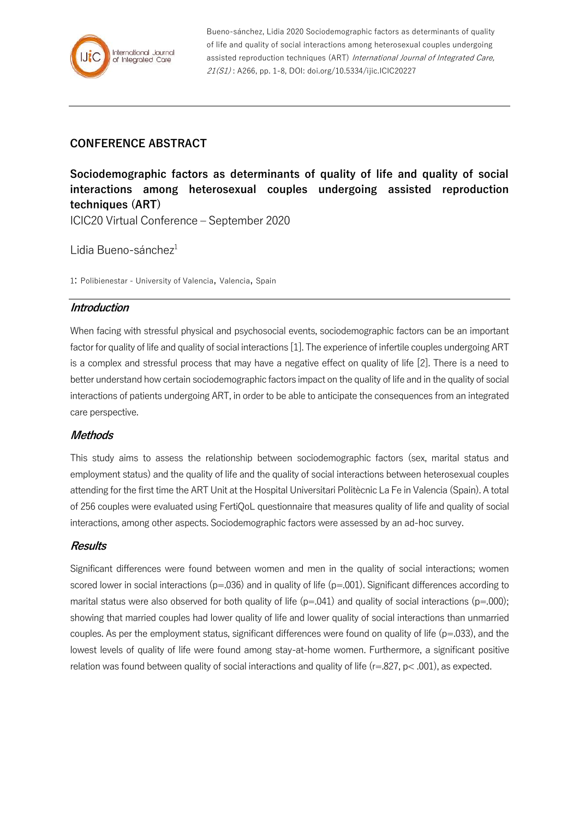

Bueno-sánchez, Lidia 2020 Sociodemographic factors as determinants of quality of life and quality of social interactions among heterosexual couples undergoing assisted reproduction techniques (ART) International Journal of Integrated Care, 21(S1) : A266, pp. 1-8, DOI: doi.org/10.5334/ijic.ICIC20227

# **CONFERENCE ABSTRACT**

**Sociodemographic factors as determinants of quality of life and quality of social interactions among heterosexual couples undergoing assisted reproduction techniques (ART)**

ICIC20 Virtual Conference – September 2020

Lidia Bueno-sánche $z<sup>1</sup>$ 

1: Polibienestar - University of Valencia, Valencia, Spain

# **Introduction**

When facing with stressful physical and psychosocial events, sociodemographic factors can be an important factor for quality of life and quality of social interactions [1]. The experience of infertile couples undergoing ART is a complex and stressful process that may have a negative effect on quality of life [2]. There is a need to better understand how certain sociodemographic factors impact on the quality of life and in the quality of social interactions of patients undergoing ART, in order to be able to anticipate the consequences from an integrated care perspective.

# **Methods**

This study aims to assess the relationship between sociodemographic factors (sex, marital status and employment status) and the quality of life and the quality of social interactions between heterosexual couples attending for the first time the ART Unit at the Hospital Universitari Politècnic La Fe in Valencia (Spain). A total of 256 couples were evaluated using FertiQoL questionnaire that measures quality of life and quality of social interactions, among other aspects. Sociodemographic factors were assessed by an ad-hoc survey.

# **Results**

Significant differences were found between women and men in the quality of social interactions; women scored lower in social interactions ( $p=0.036$ ) and in quality of life ( $p=0.01$ ). Significant differences according to marital status were also observed for both quality of life ( $p=0.041$ ) and quality of social interactions ( $p=0.000$ ); showing that married couples had lower quality of life and lower quality of social interactions than unmarried couples. As per the employment status, significant differences were found on quality of life ( $p=0.033$ ), and the lowest levels of quality of life were found among stay-at-home women. Furthermore, a significant positive relation was found between quality of social interactions and quality of life (r=.827, p< .001), as expected.